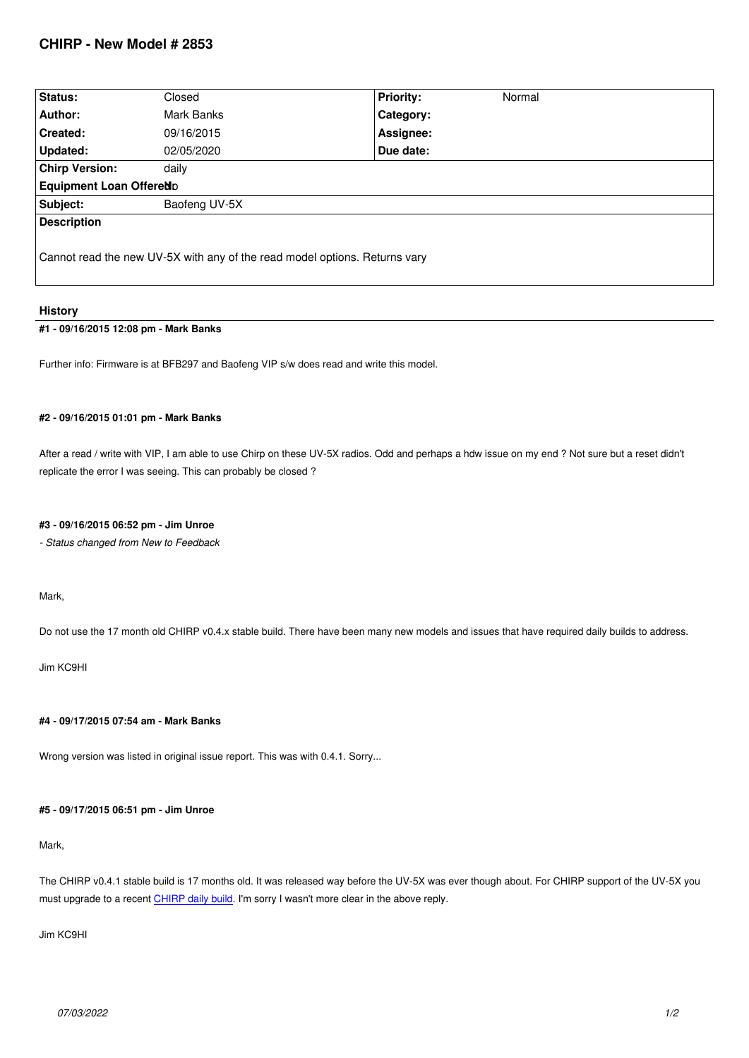| Status:                                                                    | Closed        | <b>Priority:</b> | Normal |
|----------------------------------------------------------------------------|---------------|------------------|--------|
| Author:                                                                    | Mark Banks    | Category:        |        |
| <b>Created:</b>                                                            | 09/16/2015    | Assignee:        |        |
| Updated:                                                                   | 02/05/2020    | Due date:        |        |
| <b>Chirp Version:</b>                                                      | daily         |                  |        |
| <b>Equipment Loan Offered D</b>                                            |               |                  |        |
| Subject:                                                                   | Baofeng UV-5X |                  |        |
| <b>Description</b>                                                         |               |                  |        |
| Cannot read the new UV-5X with any of the read model options. Returns vary |               |                  |        |

### **History**

## **#1 - 09/16/2015 12:08 pm - Mark Banks**

*Further info: Firmware is at BFB297 and Baofeng VIP s/w does read and write this model.*

#### **#2 - 09/16/2015 01:01 pm - Mark Banks**

*After a read / write with VIP, I am able to use Chirp on these UV-5X radios. Odd and perhaps a hdw issue on my end ? Not sure but a reset didn't replicate the error I was seeing. This can probably be closed ?*

### **#3 - 09/16/2015 06:52 pm - Jim Unroe**

*- Status changed from New to Feedback*

#### *Mark,*

*Do not use the 17 month old CHIRP v0.4.x stable build. There have been many new models and issues that have required daily builds to address.*

*Jim KC9HI*

## **#4 - 09/17/2015 07:54 am - Mark Banks**

*Wrong version was listed in original issue report. This was with 0.4.1. Sorry...*

## **#5 - 09/17/2015 06:51 pm - Jim Unroe**

## *Mark,*

*The CHIRP v0.4.1 stable build is 17 months old. It was released way before the UV-5X was ever though about. For CHIRP support of the UV-5X you must upgrade to a recent CHIRP daily build. I'm sorry I wasn't more clear in the above reply.*

#### *Jim KC9HI*